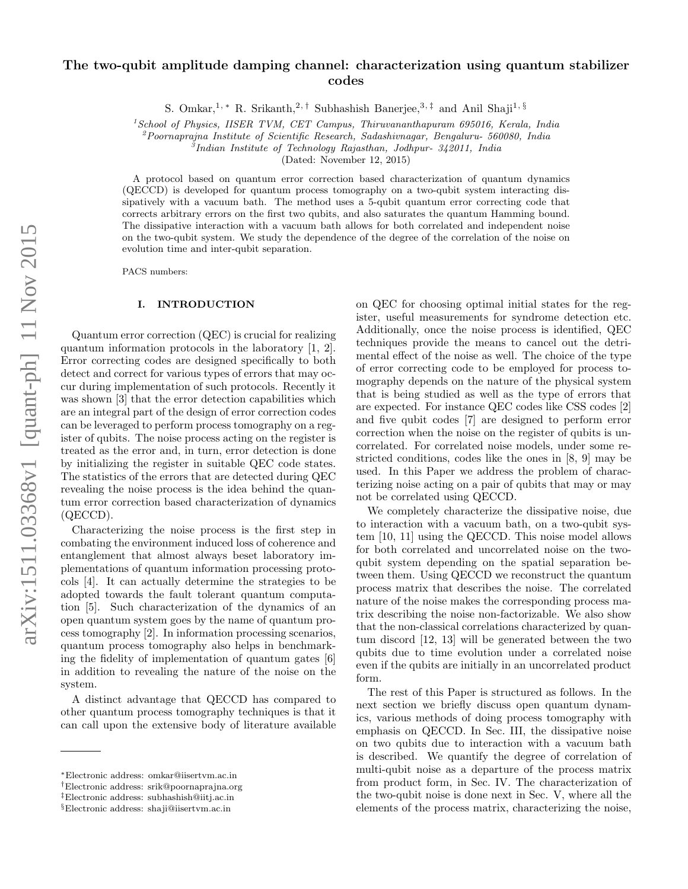# The two-qubit amplitude damping channel: characterization using quantum stabilizer codes

S. Omkar,<sup>1, \*</sup> R. Srikanth,<sup>2,†</sup> Subhashish Banerjee,<sup>3,‡</sup> and Anil Shaji<sup>1, §</sup>

 $1$ School of Physics, IISER TVM, CET Campus, Thiruvananthapuram 695016, Kerala, India

 $^{2}$ Poornaprajna Institute of Scientific Research, Sadashivnagar, Bengaluru- 560080, India

 $\delta$ Indian Institute of Technology Rajasthan, Jodhpur- 342011, India

(Dated: November 12, 2015)

A protocol based on quantum error correction based characterization of quantum dynamics (QECCD) is developed for quantum process tomography on a two-qubit system interacting dissipatively with a vacuum bath. The method uses a 5-qubit quantum error correcting code that corrects arbitrary errors on the first two qubits, and also saturates the quantum Hamming bound. The dissipative interaction with a vacuum bath allows for both correlated and independent noise on the two-qubit system. We study the dependence of the degree of the correlation of the noise on evolution time and inter-qubit separation.

PACS numbers:

#### I. INTRODUCTION

Quantum error correction (QEC) is crucial for realizing quantum information protocols in the laboratory [1, 2]. Error correcting codes are designed specifically to both detect and correct for various types of errors that may occur during implementation of such protocols. Recently it was shown [3] that the error detection capabilities which are an integral part of the design of error correction codes can be leveraged to perform process tomography on a register of qubits. The noise process acting on the register is treated as the error and, in turn, error detection is done by initializing the register in suitable QEC code states. The statistics of the errors that are detected during QEC revealing the noise process is the idea behind the quantum error correction based characterization of dynamics (QECCD).

Characterizing the noise process is the first step in combating the environment induced loss of coherence and entanglement that almost always beset laboratory implementations of quantum information processing protocols [4]. It can actually determine the strategies to be adopted towards the fault tolerant quantum computation [5]. Such characterization of the dynamics of an open quantum system goes by the name of quantum process tomography [2]. In information processing scenarios, quantum process tomography also helps in benchmarking the fidelity of implementation of quantum gates [6] in addition to revealing the nature of the noise on the system.

A distinct advantage that QECCD has compared to other quantum process tomography techniques is that it can call upon the extensive body of literature available

on QEC for choosing optimal initial states for the register, useful measurements for syndrome detection etc. Additionally, once the noise process is identified, QEC techniques provide the means to cancel out the detrimental effect of the noise as well. The choice of the type of error correcting code to be employed for process tomography depends on the nature of the physical system that is being studied as well as the type of errors that are expected. For instance QEC codes like CSS codes [2] and five qubit codes [7] are designed to perform error correction when the noise on the register of qubits is uncorrelated. For correlated noise models, under some restricted conditions, codes like the ones in [8, 9] may be used. In this Paper we address the problem of characterizing noise acting on a pair of qubits that may or may not be correlated using QECCD.

We completely characterize the dissipative noise, due to interaction with a vacuum bath, on a two-qubit system [10, 11] using the QECCD. This noise model allows for both correlated and uncorrelated noise on the twoqubit system depending on the spatial separation between them. Using QECCD we reconstruct the quantum process matrix that describes the noise. The correlated nature of the noise makes the corresponding process matrix describing the noise non-factorizable. We also show that the non-classical correlations characterized by quantum discord [12, 13] will be generated between the two qubits due to time evolution under a correlated noise even if the qubits are initially in an uncorrelated product form.

The rest of this Paper is structured as follows. In the next section we briefly discuss open quantum dynamics, various methods of doing process tomography with emphasis on QECCD. In Sec. III, the dissipative noise on two qubits due to interaction with a vacuum bath is described. We quantify the degree of correlation of multi-qubit noise as a departure of the process matrix from product form, in Sec. IV. The characterization of the two-qubit noise is done next in Sec. V, where all the elements of the process matrix, characterizing the noise,

<sup>∗</sup>Electronic address: omkar@iisertvm.ac.in

<sup>†</sup>Electronic address: srik@poornaprajna.org

<sup>‡</sup>Electronic address: subhashish@iitj.ac.in

<sup>§</sup>Electronic address: shaji@iisertvm.ac.in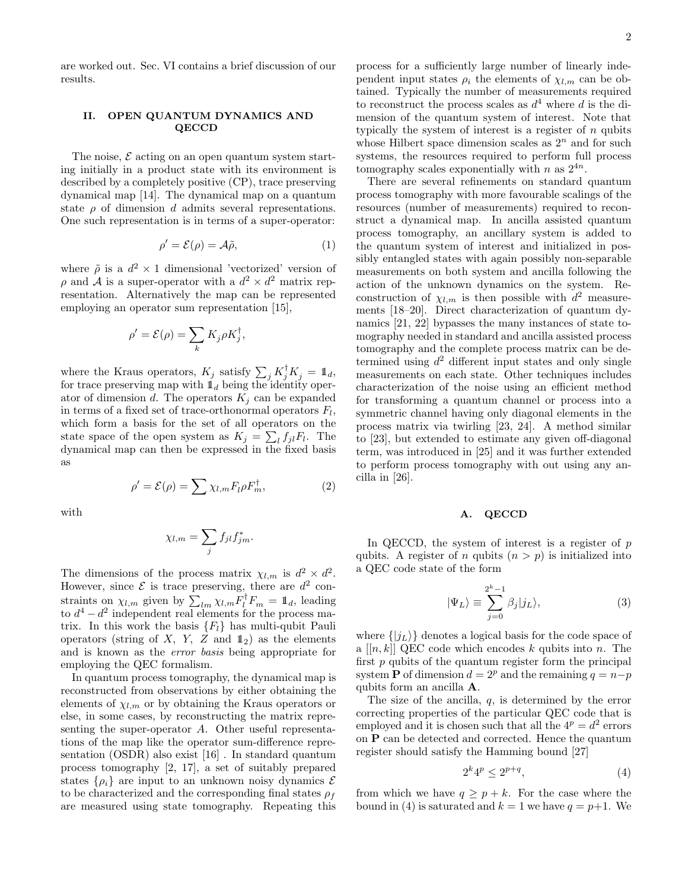are worked out. Sec. VI contains a brief discussion of our results.

### II. OPEN QUANTUM DYNAMICS AND QECCD

The noise,  $\mathcal E$  acting on an open quantum system starting initially in a product state with its environment is described by a completely positive (CP), trace preserving dynamical map [14]. The dynamical map on a quantum state  $\rho$  of dimension d admits several representations. One such representation is in terms of a super-operator:

$$
\rho' = \mathcal{E}(\rho) = \mathcal{A}\tilde{\rho},\tag{1}
$$

where  $\tilde{\rho}$  is a  $d^2 \times 1$  dimensional 'vectorized' version of  $\rho$  and A is a super-operator with a  $d^2 \times d^2$  matrix representation. Alternatively the map can be represented employing an operator sum representation [15],

$$
\rho' = \mathcal{E}(\rho) = \sum_{k} K_j \rho K_j^{\dagger},
$$

where the Kraus operators,  $K_j$  satisfy  $\sum_j K_j^{\dagger} K_j = \mathbb{1}_d$ , for trace preserving map with  $\mathbb{1}_d$  being the identity operator of dimension d. The operators  $K_i$  can be expanded in terms of a fixed set of trace-orthonormal operators  $F_l$ , which form a basis for the set of all operators on the state space of the open system as  $K_j = \sum_l f_{jl} F_l$ . The dynamical map can then be expressed in the fixed basis as

 $\rho' = \mathcal{E}(\rho) = \sum \chi_{l,m} F_l \rho F_{m}^{\dagger}$ 

with

$$
\chi_{l,m} = \sum_j f_{jl} f_{jm}^*.
$$

 $(2)$ 

The dimensions of the process matrix  $\chi_{l,m}$  is  $d^2 \times d^2$ . However, since  $\mathcal E$  is trace preserving, there are  $d^2$  constraints on  $\chi_{l,m}$  given by  $\sum_{lm} \chi_{l,m} F_l^{\dagger} F_m = \mathbb{1}_d$ , leading to  $d^4 - d^2$  independent real elements for the process matrix. In this work the basis  ${F<sub>l</sub>}$  has multi-qubit Pauli operators (string of X, Y, Z and  $\mathbb{1}_2$ ) as the elements and is known as the error basis being appropriate for employing the QEC formalism.

In quantum process tomography, the dynamical map is reconstructed from observations by either obtaining the elements of  $\chi_{l,m}$  or by obtaining the Kraus operators or else, in some cases, by reconstructing the matrix representing the super-operator A. Other useful representations of the map like the operator sum-difference representation (OSDR) also exist [16] . In standard quantum process tomography [2, 17], a set of suitably prepared states  $\{\rho_i\}$  are input to an unknown noisy dynamics  $\mathcal E$ to be characterized and the corresponding final states  $\rho_f$ are measured using state tomography. Repeating this

process for a sufficiently large number of linearly independent input states  $\rho_i$  the elements of  $\chi_{l,m}$  can be obtained. Typically the number of measurements required to reconstruct the process scales as  $d^4$  where d is the dimension of the quantum system of interest. Note that typically the system of interest is a register of  $n$  qubits whose Hilbert space dimension scales as  $2<sup>n</sup>$  and for such systems, the resources required to perform full process tomography scales exponentially with n as  $2^{4n}$ .

There are several refinements on standard quantum process tomography with more favourable scalings of the resources (number of measurements) required to reconstruct a dynamical map. In ancilla assisted quantum process tomography, an ancillary system is added to the quantum system of interest and initialized in possibly entangled states with again possibly non-separable measurements on both system and ancilla following the action of the unknown dynamics on the system. Reconstruction of  $\chi_{l,m}$  is then possible with  $d^2$  measurements [18–20]. Direct characterization of quantum dynamics [21, 22] bypasses the many instances of state tomography needed in standard and ancilla assisted process tomography and the complete process matrix can be determined using  $d^2$  different input states and only single measurements on each state. Other techniques includes characterization of the noise using an efficient method for transforming a quantum channel or process into a symmetric channel having only diagonal elements in the process matrix via twirling [23, 24]. A method similar to [23], but extended to estimate any given off-diagonal term, was introduced in [25] and it was further extended to perform process tomography with out using any ancilla in [26].

#### A. QECCD

In QECCD, the system of interest is a register of  $p$ qubits. A register of n qubits  $(n > p)$  is initialized into a QEC code state of the form

$$
|\Psi_L\rangle \equiv \sum_{j=0}^{2^k - 1} \beta_j |j_L\rangle,\tag{3}
$$

where  $\{|j_L\rangle\}$  denotes a logical basis for the code space of a  $[[n, k]]$  QEC code which encodes k qubits into n. The first  $p$  qubits of the quantum register form the principal system **P** of dimension  $d = 2^p$  and the remaining  $q = n-p$ qubits form an ancilla A.

The size of the ancilla,  $q$ , is determined by the error correcting properties of the particular QEC code that is employed and it is chosen such that all the  $4^p = d^2$  errors on P can be detected and corrected. Hence the quantum register should satisfy the Hamming bound [27]

$$
2^k 4^p \le 2^{p+q},\tag{4}
$$

from which we have  $q \geq p + k$ . For the case where the bound in (4) is saturated and  $k = 1$  we have  $q = p+1$ . We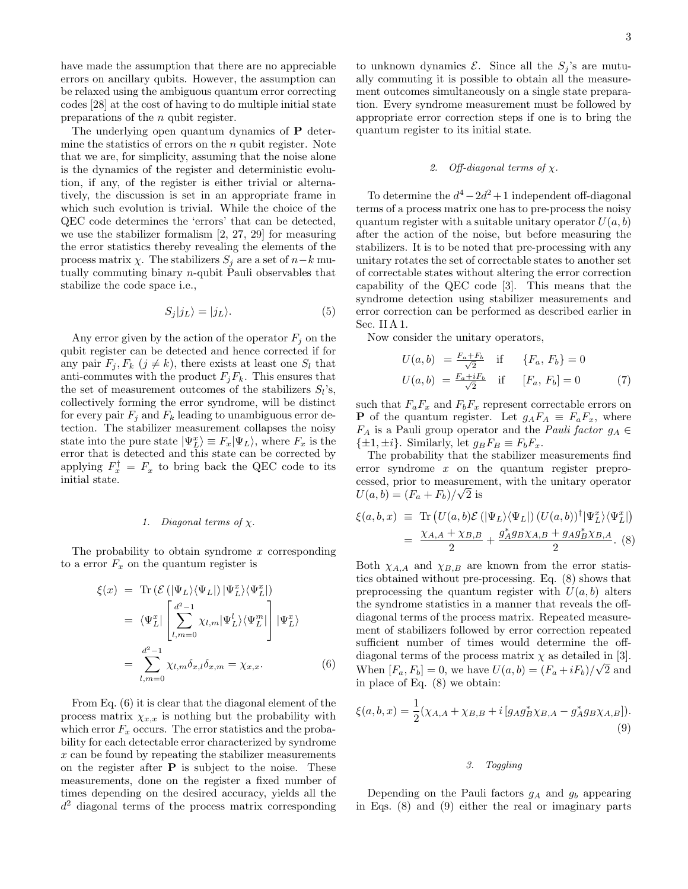have made the assumption that there are no appreciable errors on ancillary qubits. However, the assumption can be relaxed using the ambiguous quantum error correcting codes [28] at the cost of having to do multiple initial state preparations of the n qubit register.

The underlying open quantum dynamics of P determine the statistics of errors on the  $n$  qubit register. Note that we are, for simplicity, assuming that the noise alone is the dynamics of the register and deterministic evolution, if any, of the register is either trivial or alternatively, the discussion is set in an appropriate frame in which such evolution is trivial. While the choice of the QEC code determines the 'errors' that can be detected, we use the stabilizer formalism [2, 27, 29] for measuring the error statistics thereby revealing the elements of the process matrix  $\chi$ . The stabilizers  $S_i$  are a set of  $n-k$  mutually commuting binary n-qubit Pauli observables that stabilize the code space i.e.,

$$
S_j|j_L\rangle = |j_L\rangle. \tag{5}
$$

Any error given by the action of the operator  $F_j$  on the qubit register can be detected and hence corrected if for any pair  $F_i, F_k$   $(j \neq k)$ , there exists at least one  $S_l$  that anti-commutes with the product  $F_jF_k$ . This ensures that the set of measurement outcomes of the stabilizers  $S_l$ 's, collectively forming the error syndrome, will be distinct for every pair  $F_i$  and  $F_k$  leading to unambiguous error detection. The stabilizer measurement collapses the noisy state into the pure state  $|\Psi_L^x\rangle \equiv F_x|\Psi_L\rangle$ , where  $F_x$  is the error that is detected and this state can be corrected by applying  $F_x^{\dagger} = F_x$  to bring back the QEC code to its initial state.

#### 1. Diagonal terms of  $\chi$ .

The probability to obtain syndrome  $x$  corresponding to a error  $F_x$  on the quantum register is

$$
\xi(x) = \text{Tr} \left( \mathcal{E} \left( |\Psi_L\rangle \langle \Psi_L| \right) |\Psi_L^x\rangle \langle \Psi_L^x| \right)
$$
  
\n
$$
= \langle \Psi_L^x | \left[ \sum_{l,m=0}^{d^2-1} \chi_{l,m} |\Psi_L^l\rangle \langle \Psi_L^m| \right] |\Psi_L^x\rangle
$$
  
\n
$$
= \sum_{l,m=0}^{d^2-1} \chi_{l,m} \delta_{x,l} \delta_{x,m} = \chi_{x,x}.
$$
 (6)

From Eq. (6) it is clear that the diagonal element of the process matrix  $\chi_{x,x}$  is nothing but the probability with which error  $F_x$  occurs. The error statistics and the probability for each detectable error characterized by syndrome x can be found by repeating the stabilizer measurements on the register after  $P$  is subject to the noise. These measurements, done on the register a fixed number of times depending on the desired accuracy, yields all the  $d^2$  diagonal terms of the process matrix corresponding

to unknown dynamics  $\mathcal{E}$ . Since all the  $S_j$ 's are mutually commuting it is possible to obtain all the measurement outcomes simultaneously on a single state preparation. Every syndrome measurement must be followed by appropriate error correction steps if one is to bring the quantum register to its initial state.

#### 2. Off-diagonal terms of  $\chi$ .

To determine the  $d^4 - 2d^2 + 1$  independent off-diagonal terms of a process matrix one has to pre-process the noisy quantum register with a suitable unitary operator  $U(a, b)$ after the action of the noise, but before measuring the stabilizers. It is to be noted that pre-processing with any unitary rotates the set of correctable states to another set of correctable states without altering the error correction capability of the QEC code [3]. This means that the syndrome detection using stabilizer measurements and error correction can be performed as described earlier in Sec. II A 1.

Now consider the unitary operators,

$$
U(a, b) = \frac{F_a + F_b}{\sqrt{2}} \quad \text{if} \quad \{F_a, F_b\} = 0
$$
  

$$
U(a, b) = \frac{F_a + iF_b}{\sqrt{2}} \quad \text{if} \quad [F_a, F_b] = 0 \tag{7}
$$

such that  $F_aF_x$  and  $F_bF_x$  represent correctable errors on **P** of the quantum register. Let  $g_A F_A \equiv F_a F_x$ , where  $F_A$  is a Pauli group operator and the *Pauli factor*  $g_A \in$  $\{\pm 1, \pm i\}$ . Similarly, let  $g_B F_B \equiv F_b F_x$ .

The probability that the stabilizer measurements find error syndrome  $x$  on the quantum register preprocessed, prior to measurement, with the unitary operator  $U(a, b) = (F_a + F_b)/\sqrt{2}$  is

$$
\xi(a,b,x) \equiv \text{Tr}\left(U(a,b)\mathcal{E}\left(|\Psi_L\rangle\langle\Psi_L|\right)\left(U(a,b)\right)^{\dagger}|\Psi_L^x\rangle\langle\Psi_L^x|\right) \n= \frac{\chi_{A,A} + \chi_{B,B}}{2} + \frac{g_A^* g_{B}\chi_{A,B} + g_A g_B^* \chi_{B,A}}{2}.
$$
 (8)

Both  $\chi_{A,A}$  and  $\chi_{B,B}$  are known from the error statistics obtained without pre-processing. Eq. (8) shows that preprocessing the quantum register with  $U(a, b)$  alters the syndrome statistics in a manner that reveals the offdiagonal terms of the process matrix. Repeated measurement of stabilizers followed by error correction repeated sufficient number of times would determine the offdiagonal terms of the process matrix  $\chi$  as detailed in [3]. When  $[F_a, F_b] = 0$ , we have  $U(a, b) = (F_a + iF_b)/\sqrt{2}$  and in place of Eq. (8) we obtain:

$$
\xi(a,b,x) = \frac{1}{2}(\chi_{A,A} + \chi_{B,B} + i[g_A g_B^* \chi_{B,A} - g_A^* g_B \chi_{A,B}]).
$$
\n(9)

## 3. Toggling

Depending on the Pauli factors  $g_A$  and  $g_b$  appearing in Eqs. (8) and (9) either the real or imaginary parts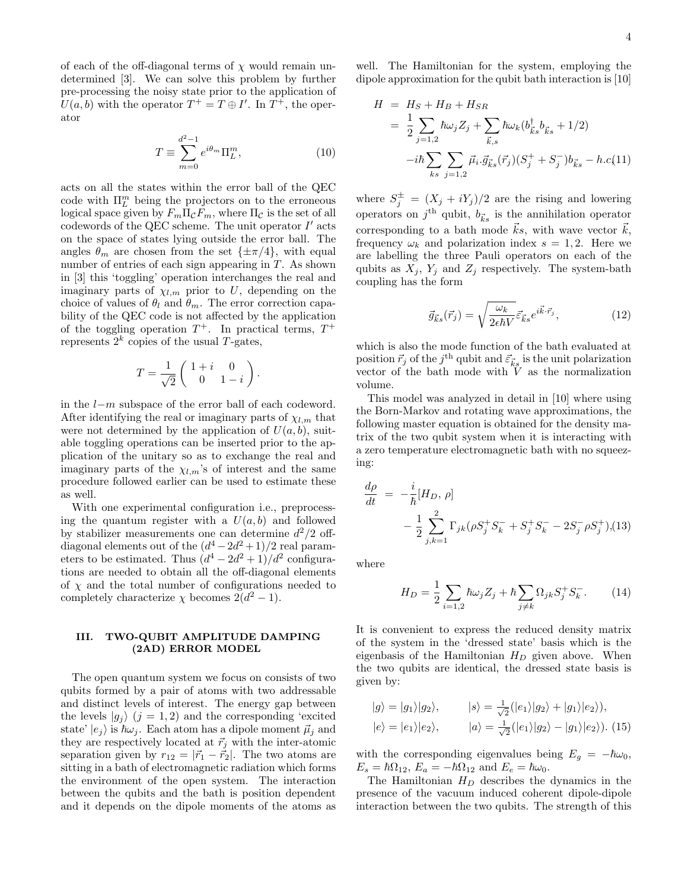of each of the off-diagonal terms of  $\chi$  would remain undetermined [3]. We can solve this problem by further pre-processing the noisy state prior to the application of  $U(a, b)$  with the operator  $T^+ = T \oplus I'$ . In  $T^+$ , the operator

$$
T \equiv \sum_{m=0}^{d^2-1} e^{i\theta_m} \Pi_L^m,
$$
\n(10)

acts on all the states within the error ball of the QEC code with  $\Pi^m_L$  being the projectors on to the erroneous logical space given by  $F_m \Pi_\mathcal{C} F_m$ , where  $\Pi_\mathcal{C}$  is the set of all codewords of the QEC scheme. The unit operator  $I'$  acts on the space of states lying outside the error ball. The angles  $\theta_m$  are chosen from the set  $\{\pm \pi/4\}$ , with equal number of entries of each sign appearing in T. As shown in [3] this 'toggling' operation interchanges the real and imaginary parts of  $\chi_{l,m}$  prior to U, depending on the choice of values of  $\theta_l$  and  $\theta_m$ . The error correction capability of the QEC code is not affected by the application of the toggling operation  $T^+$ . In practical terms,  $T^+$ represents  $2^k$  copies of the usual T-gates,

$$
T = \frac{1}{\sqrt{2}} \begin{pmatrix} 1+i & 0 \\ 0 & 1-i \end{pmatrix}.
$$

in the l−m subspace of the error ball of each codeword. After identifying the real or imaginary parts of  $\chi_{l,m}$  that were not determined by the application of  $U(a, b)$ , suitable toggling operations can be inserted prior to the application of the unitary so as to exchange the real and imaginary parts of the  $\chi_{l,m}$ 's of interest and the same procedure followed earlier can be used to estimate these as well.

With one experimental configuration i.e., preprocessing the quantum register with a  $U(a, b)$  and followed by stabilizer measurements one can determine  $d^2/2$  offdiagonal elements out of the  $(d^4 - 2d^2 + 1)/2$  real parameters to be estimated. Thus  $\left(d^4 - 2d^2 + 1\right)/d^2$  configurations are needed to obtain all the off-diagonal elements of  $\chi$  and the total number of configurations needed to completely characterize  $\chi$  becomes  $2(d^2 - 1)$ .

## III. TWO-QUBIT AMPLITUDE DAMPING (2AD) ERROR MODEL

The open quantum system we focus on consists of two qubits formed by a pair of atoms with two addressable and distinct levels of interest. The energy gap between the levels  $|g_j\rangle$   $(j = 1, 2)$  and the corresponding 'excited state'  $|e_i\rangle$  is  $\hbar\omega_i$ . Each atom has a dipole moment  $\vec{\mu}_i$  and they are respectively located at  $\vec{r}_i$  with the inter-atomic separation given by  $r_{12} = |\vec{r}_1 - \vec{r}_2|$ . The two atoms are sitting in a bath of electromagnetic radiation which forms the environment of the open system. The interaction between the qubits and the bath is position dependent and it depends on the dipole moments of the atoms as

well. The Hamiltonian for the system, employing the dipole approximation for the qubit bath interaction is [10]

$$
H = H_S + H_B + H_{SR}
$$
  
=  $\frac{1}{2} \sum_{j=1,2} \hbar \omega_j Z_j + \sum_{\vec{k},s} \hbar \omega_k (b_{\vec{k}s}^{\dagger} b_{\vec{k}s} + 1/2)$   
- $i\hbar \sum_{ks} \sum_{j=1,2} \vec{\mu}_i \cdot \vec{g}_{\vec{k}s}(\vec{r}_j) (S_j^+ + S_j^-) b_{\vec{k}s} - h.c.$ (11)

where  $S_j^{\pm} = (X_j + iY_j)/2$  are the rising and lowering operators on  $j<sup>th</sup>$  qubit,  $b_{\vec{k}s}$  is the annihilation operator corresponding to a bath mode  $\vec{k}s$ , with wave vector  $\vec{k}$ , frequency  $\omega_k$  and polarization index  $s = 1, 2$ . Here we are labelling the three Pauli operators on each of the qubits as  $X_i$ ,  $Y_i$  and  $Z_i$  respectively. The system-bath coupling has the form

$$
\vec{g}_{\vec{k}s}(\vec{r}_j) = \sqrt{\frac{\omega_k}{2\epsilon\hbar V}} \vec{\varepsilon}_{\vec{k}s} e^{i\vec{k}\cdot\vec{r}_j},\tag{12}
$$

which is also the mode function of the bath evaluated at position  $\vec{r}_j$  of the  $j^{\text{th}}$  qubit and  $\vec{\varepsilon}_{\vec{k}s}$  is the unit polarization vector of the bath mode with  $\tilde{V}$  as the normalization volume.

This model was analyzed in detail in [10] where using the Born-Markov and rotating wave approximations, the following master equation is obtained for the density matrix of the two qubit system when it is interacting with a zero temperature electromagnetic bath with no squeezing:

$$
\frac{d\rho}{dt} = -\frac{i}{\hbar}[H_D, \rho] \n- \frac{1}{2} \sum_{j,k=1}^{2} \Gamma_{jk} (\rho S_j^+ S_k^- + S_j^+ S_k^- - 2S_j^- \rho S_j^+), (13)
$$

where

$$
H_D = \frac{1}{2} \sum_{i=1,2} \hbar \omega_j Z_j + \hbar \sum_{j \neq k} \Omega_{jk} S_j^+ S_k^-.
$$
 (14)

It is convenient to express the reduced density matrix of the system in the 'dressed state' basis which is the eigenbasis of the Hamiltonian  $H_D$  given above. When the two qubits are identical, the dressed state basis is given by:

$$
|g\rangle = |g_1\rangle|g_2\rangle,
$$
  $|s\rangle = \frac{1}{\sqrt{2}}(|e_1\rangle|g_2\rangle + |g_1\rangle|e_2\rangle),$   
 $|e\rangle = |e_1\rangle|e_2\rangle,$   $|a\rangle = \frac{1}{\sqrt{2}}(|e_1\rangle|g_2\rangle - |g_1\rangle|e_2\rangle).$  (15)

with the corresponding eigenvalues being  $E_q = -\hbar \omega_0$ ,  $E_s = \hbar \Omega_{12}$ ,  $E_a = -\hbar \Omega_{12}$  and  $E_e = \hbar \omega_0$ .

The Hamiltonian  $H_D$  describes the dynamics in the presence of the vacuum induced coherent dipole-dipole interaction between the two qubits. The strength of this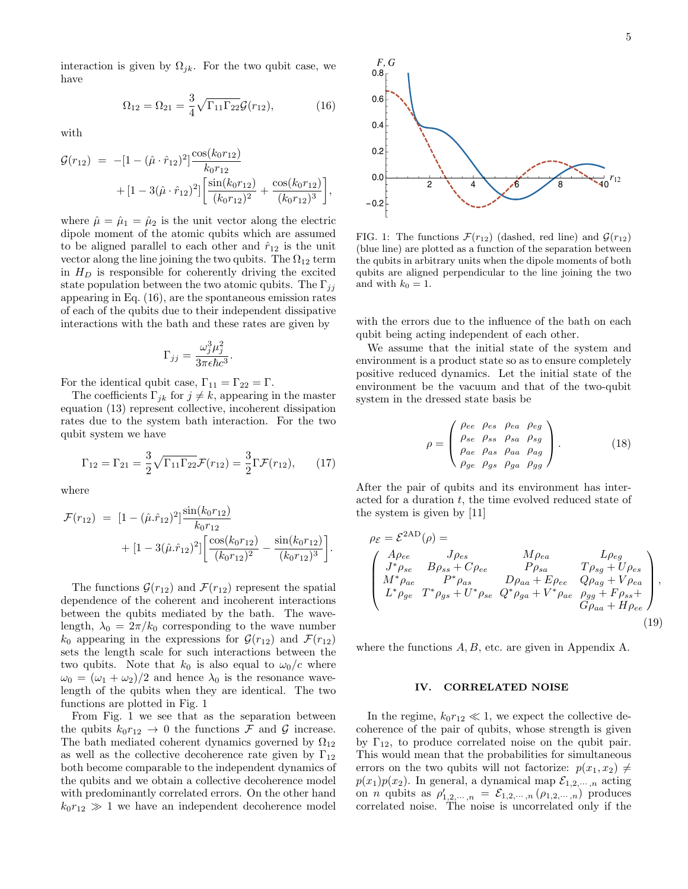,

interaction is given by  $\Omega_{jk}$ . For the two qubit case, we have

$$
\Omega_{12} = \Omega_{21} = \frac{3}{4} \sqrt{\Gamma_{11} \Gamma_{22}} \mathcal{G}(r_{12}),\tag{16}
$$

with

$$
\mathcal{G}(r_{12}) = -[1 - (\hat{\mu} \cdot \hat{r}_{12})^2] \frac{\cos(k_0 r_{12})}{k_0 r_{12}} \n+ [1 - 3(\hat{\mu} \cdot \hat{r}_{12})^2] \left[ \frac{\sin(k_0 r_{12})}{(k_0 r_{12})^2} + \frac{\cos(k_0 r_{12})}{(k_0 r_{12})^3} \right],
$$

where  $\hat{\mu} = \hat{\mu}_1 = \hat{\mu}_2$  is the unit vector along the electric dipole moment of the atomic qubits which are assumed to be aligned parallel to each other and  $\hat{r}_{12}$  is the unit vector along the line joining the two qubits. The  $\Omega_{12}$  term in  $H_D$  is responsible for coherently driving the excited state population between the two atomic qubits. The  $\Gamma_{ij}$ appearing in Eq. (16), are the spontaneous emission rates of each of the qubits due to their independent dissipative interactions with the bath and these rates are given by

$$
\Gamma_{jj} = \frac{\omega_j^3 \mu_j^2}{3\pi \epsilon \hbar c^3}.
$$

For the identical qubit case,  $\Gamma_{11} = \Gamma_{22} = \Gamma$ .

The coefficients  $\Gamma_{ik}$  for  $j \neq k$ , appearing in the master equation (13) represent collective, incoherent dissipation rates due to the system bath interaction. For the two qubit system we have

$$
\Gamma_{12} = \Gamma_{21} = \frac{3}{2} \sqrt{\Gamma_{11} \Gamma_{22}} \mathcal{F}(r_{12}) = \frac{3}{2} \Gamma \mathcal{F}(r_{12}), \qquad (17)
$$

where

$$
\mathcal{F}(r_{12}) = [1 - (\hat{\mu}.\hat{r}_{12})^2] \frac{\sin(k_0 r_{12})}{k_0 r_{12}} \n+ [1 - 3(\hat{\mu}.\hat{r}_{12})^2] \left[ \frac{\cos(k_0 r_{12})}{(k_0 r_{12})^2} - \frac{\sin(k_0 r_{12})}{(k_0 r_{12})^3} \right].
$$

The functions  $\mathcal{G}(r_{12})$  and  $\mathcal{F}(r_{12})$  represent the spatial dependence of the coherent and incoherent interactions between the qubits mediated by the bath. The wavelength,  $\lambda_0 = 2\pi/k_0$  corresponding to the wave number  $k_0$  appearing in the expressions for  $\mathcal{G}(r_{12})$  and  $\mathcal{F}(r_{12})$ sets the length scale for such interactions between the two qubits. Note that  $k_0$  is also equal to  $\omega_0/c$  where  $\omega_0 = (\omega_1 + \omega_2)/2$  and hence  $\lambda_0$  is the resonance wavelength of the qubits when they are identical. The two functions are plotted in Fig. 1

From Fig. 1 we see that as the separation between the qubits  $k_0r_{12} \rightarrow 0$  the functions  $\mathcal F$  and  $\mathcal G$  increase. The bath mediated coherent dynamics governed by  $\Omega_{12}$ as well as the collective decoherence rate given by  $\Gamma_{12}$ both become comparable to the independent dynamics of the qubits and we obtain a collective decoherence model with predominantly correlated errors. On the other hand  $k_0r_{12} \gg 1$  we have an independent decoherence model



FIG. 1: The functions  $\mathcal{F}(r_{12})$  (dashed, red line) and  $\mathcal{G}(r_{12})$ (blue line) are plotted as a function of the separation between the qubits in arbitrary units when the dipole moments of both qubits are aligned perpendicular to the line joining the two and with  $k_0 = 1$ .

with the errors due to the influence of the bath on each qubit being acting independent of each other.

We assume that the initial state of the system and environment is a product state so as to ensure completely positive reduced dynamics. Let the initial state of the environment be the vacuum and that of the two-qubit system in the dressed state basis be

$$
\rho = \begin{pmatrix}\n\rho_{ee} & \rho_{es} & \rho_{ea} & \rho_{eg} \\
\rho_{se} & \rho_{ss} & \rho_{sa} & \rho_{sg} \\
\rho_{ae} & \rho_{as} & \rho_{aa} & \rho_{ag} \\
\rho_{ge} & \rho_{gs} & \rho_{ga} & \rho_{gg}\n\end{pmatrix}.
$$
\n(18)

After the pair of qubits and its environment has interacted for a duration  $t$ , the time evolved reduced state of the system is given by [11]

$$
\rho_{\mathcal{E}} = \mathcal{E}^{2AD}(\rho) =
$$
\n
$$
\begin{pmatrix}\nA\rho_{ee} & J\rho_{es} & M\rho_{ea} & L\rho_{eg} \\
J^*\rho_{se} & B\rho_{ss} + C\rho_{ee} & P\rho_{sa} & T\rho_{sg} + U\rho_{es} \\
M^*\rho_{ae} & P^*\rho_{as} & D\rho_{aa} + E\rho_{ee} & Q\rho_{ag} + V\rho_{ea} \\
L^*\rho_{ge} & T^*\rho_{gs} + U^*\rho_{se} & Q^*\rho_{ga} + V^*\rho_{ae} & \rho_{gg} + F\rho_{ss} + G\rho_{aa} + H\rho_{ee}\n\end{pmatrix},
$$
\n(19)

where the functions  $A, B$ , etc. are given in Appendix A.

#### IV. CORRELATED NOISE

In the regime,  $k_0r_{12} \ll 1$ , we expect the collective decoherence of the pair of qubits, whose strength is given by  $\Gamma_{12}$ , to produce correlated noise on the qubit pair. This would mean that the probabilities for simultaneous errors on the two qubits will not factorize:  $p(x_1, x_2) \neq$  $p(x_1)p(x_2)$ . In general, a dynamical map  $\mathcal{E}_{1,2,\cdots,n}$  acting on *n* qubits as  $\rho'_{1,2,\dots,n} = \mathcal{E}_{1,2,\dots,n}(\rho_{1,2,\dots,n})$  produces correlated noise. The noise is uncorrelated only if the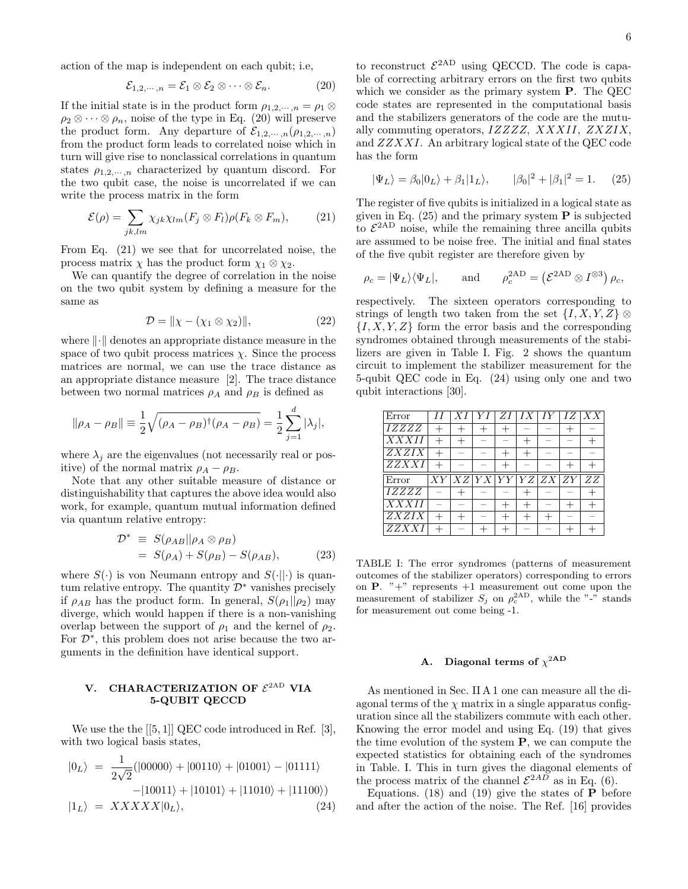action of the map is independent on each qubit; i.e,

$$
\mathcal{E}_{1,2,\cdots,n} = \mathcal{E}_1 \otimes \mathcal{E}_2 \otimes \cdots \otimes \mathcal{E}_n.
$$
 (20)

If the initial state is in the product form  $\rho_{1,2,\dots,n} = \rho_1 \otimes$  $\rho_2 \otimes \cdots \otimes \rho_n$ , noise of the type in Eq. (20) will preserve the product form. Any departure of  $\mathcal{E}_{1,2,\cdots,n}(\rho_{1,2,\cdots,n})$ from the product form leads to correlated noise which in turn will give rise to nonclassical correlations in quantum states  $\rho_{1,2,\dots,n}$  characterized by quantum discord. For the two qubit case, the noise is uncorrelated if we can write the process matrix in the form

$$
\mathcal{E}(\rho) = \sum_{jk,lm} \chi_{jk} \chi_{lm} (F_j \otimes F_l) \rho (F_k \otimes F_m), \qquad (21)
$$

From Eq. (21) we see that for uncorrelated noise, the process matrix  $\chi$  has the product form  $\chi_1 \otimes \chi_2$ .

We can quantify the degree of correlation in the noise on the two qubit system by defining a measure for the same as

$$
\mathcal{D} = \|\chi - (\chi_1 \otimes \chi_2)\|,\tag{22}
$$

where  $\lVert \cdot \rVert$  denotes an appropriate distance measure in the space of two qubit process matrices  $\chi$ . Since the process matrices are normal, we can use the trace distance as an appropriate distance measure [2]. The trace distance between two normal matrices  $\rho_A$  and  $\rho_B$  is defined as

$$
\|\rho_A - \rho_B\| \equiv \frac{1}{2} \sqrt{(\rho_A - \rho_B)^{\dagger} (\rho_A - \rho_B)} = \frac{1}{2} \sum_{j=1}^d |\lambda_j|,
$$

where  $\lambda_i$  are the eigenvalues (not necessarily real or positive) of the normal matrix  $\rho_A - \rho_B$ .

Note that any other suitable measure of distance or distinguishability that captures the above idea would also work, for example, quantum mutual information defined via quantum relative entropy:

$$
\mathcal{D}^* \equiv S(\rho_{AB}||\rho_A \otimes \rho_B) \n= S(\rho_A) + S(\rho_B) - S(\rho_{AB}),
$$
\n(23)

where  $S(\cdot)$  is von Neumann entropy and  $S(\cdot||\cdot)$  is quantum relative entropy. The quantity  $\mathcal{D}^*$  vanishes precisely if  $\rho_{AB}$  has the product form. In general,  $S(\rho_1||\rho_2)$  may diverge, which would happen if there is a non-vanishing overlap between the support of  $\rho_1$  and the kernel of  $\rho_2$ . For  $\mathcal{D}^*$ , this problem does not arise because the two arguments in the definition have identical support.

### V. CHARACTERIZATION OF  $\mathcal{E}^{\text{2AD}}$  VIA 5-QUBIT QECCD

We use the the  $[[5, 1]]$  QEC code introduced in Ref.  $[3]$ , with two logical basis states,

$$
|0_L\rangle = \frac{1}{2\sqrt{2}}(|00000\rangle + |00110\rangle + |01001\rangle - |01111\rangle
$$
  
\n
$$
-|10011\rangle + |10101\rangle + |11010\rangle + |11100\rangle)
$$
  
\n
$$
|1_L\rangle = XXXXX|0_L\rangle, \qquad (24)
$$

to reconstruct  $\mathcal{E}^{\text{2AD}}$  using QECCD. The code is capable of correcting arbitrary errors on the first two qubits which we consider as the primary system P. The QEC code states are represented in the computational basis and the stabilizers generators of the code are the mutually commuting operators, IZZZZ, XXXII, ZXZIX, and ZZXXI. An arbitrary logical state of the QEC code has the form

$$
|\Psi_L\rangle = \beta_0 |0_L\rangle + \beta_1 |1_L\rangle, \qquad |\beta_0|^2 + |\beta_1|^2 = 1. \tag{25}
$$

The register of five qubits is initialized in a logical state as given in Eq.  $(25)$  and the primary system **P** is subjected to  $\mathcal{E}^{2AD}$  noise, while the remaining three ancilla qubits are assumed to be noise free. The initial and final states of the five qubit register are therefore given by

$$
\rho_c = |\Psi_L\rangle\langle\Psi_L|,
$$
 and  $\rho_c^{\text{2AD}} = (\mathcal{E}^{\text{2AD}} \otimes I^{\otimes 3}) \rho_c,$ 

respectively. The sixteen operators corresponding to strings of length two taken from the set  $\{I, X, Y, Z\}$  $\{I, X, Y, Z\}$  form the error basis and the corresponding syndromes obtained through measurements of the stabilizers are given in Table I. Fig. 2 shows the quantum circuit to implement the stabilizer measurement for the 5-qubit QEC code in Eq. (24) using only one and two qubit interactions [30].

| $\overline{\mathrm{Error}}$ |    | YΙ                                              | ZΙ | $\perp IX$ | $I\bar{Y}$ | IZ | XX |
|-----------------------------|----|-------------------------------------------------|----|------------|------------|----|----|
| <i>IZZZZ</i>                |    |                                                 |    |            |            |    |    |
| $\overline{XXXII}$          |    |                                                 |    |            |            |    |    |
| <b>ZXZIX</b>                |    |                                                 |    |            |            |    |    |
| <b>ZZXXI</b>                |    |                                                 |    |            |            |    |    |
|                             |    |                                                 |    |            |            |    |    |
|                             | XY | $\frac{XZ}{YY}$ $\frac{YY}{YZ}$ $\frac{ZZ}{ZY}$ |    |            |            |    | ZZ |
| Error<br>IZZZZ              |    |                                                 |    |            |            |    |    |
| $\overline{XX}XII$          |    |                                                 |    |            |            |    |    |
| $\overline{ZXZ}IX$<br>ZZXXI |    |                                                 |    |            |            |    |    |

TABLE I: The error syndromes (patterns of measurement outcomes of the stabilizer operators) corresponding to errors on  $P$ . "+" represents +1 measurement out come upon the measurement of stabilizer  $S_j$  on  $\rho_c^{\text{2AD}}$ , while the "-" stands for measurement out come being -1.

# A. Diagonal terms of  $\chi^{2AD}$

As mentioned in Sec. II A 1 one can measure all the diagonal terms of the  $\chi$  matrix in a single apparatus configuration since all the stabilizers commute with each other. Knowing the error model and using Eq. (19) that gives the time evolution of the system  $P$ , we can compute the expected statistics for obtaining each of the syndromes in Table. I. This in turn gives the diagonal elements of the process matrix of the channel  $\mathcal{E}^{2AD}$  as in Eq. (6).

Equations. (18) and (19) give the states of  $P$  before and after the action of the noise. The Ref. [16] provides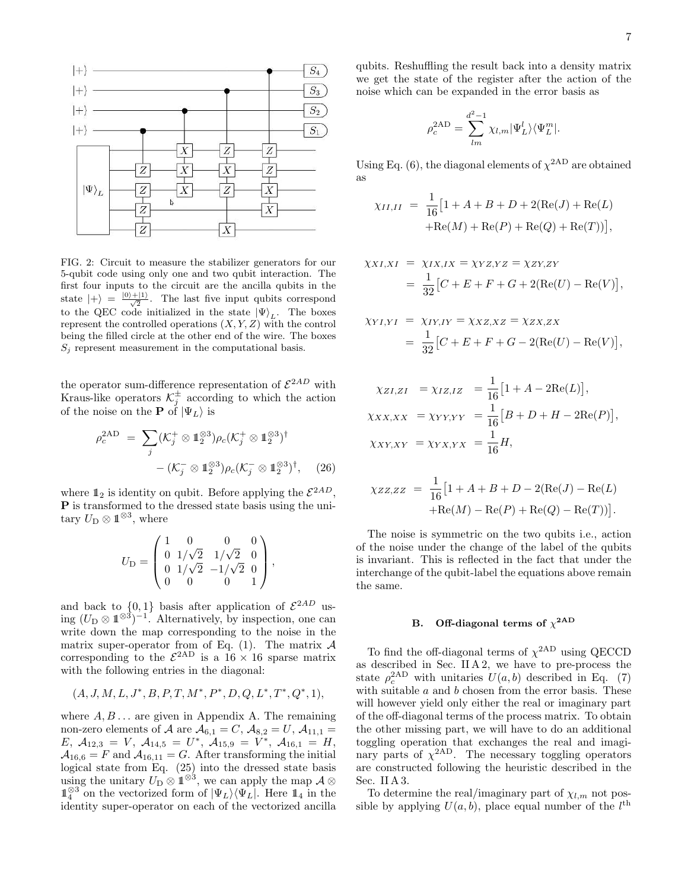

FIG. 2: Circuit to measure the stabilizer generators for our 5-qubit code using only one and two qubit interaction. The first four inputs to the circuit are the ancilla qubits in the state  $|+\rangle = \frac{|0\rangle+|1\rangle}{\sqrt{2}}$ . The last five input qubits correspond to the QEC code initialized in the state  $|\Psi\rangle_L$ . The boxes represent the controlled operations  $(X, Y, Z)$  with the control being the filled circle at the other end of the wire. The boxes  $S_j$  represent measurement in the computational basis.

the operator sum-difference representation of  $\mathcal{E}^{2AD}$  with Kraus-like operators  $\mathcal{K}^{\pm}_{j}$  according to which the action of the noise on the **P** of  $|\Psi_L\rangle$  is

$$
\rho_c^{\text{2AD}} = \sum_j (\mathcal{K}_j^+ \otimes \mathbb{1}_2^{\otimes 3}) \rho_c (\mathcal{K}_j^+ \otimes \mathbb{1}_2^{\otimes 3})^\dagger - (\mathcal{K}_j^- \otimes \mathbb{1}_2^{\otimes 3}) \rho_c (\mathcal{K}_j^- \otimes \mathbb{1}_2^{\otimes 3})^\dagger, \quad (26)
$$

where  $\mathbb{1}_2$  is identity on qubit. Before applying the  $\mathcal{E}^{2AD}$ , P is transformed to the dressed state basis using the unitary  $U_D \otimes \mathbb{1}^{\otimes 3}$ , where

$$
U_{\rm D} = \begin{pmatrix} 1 & 0 & 0 & 0 \\ 0 & 1/\sqrt{2} & 1/\sqrt{2} & 0 \\ 0 & 1/\sqrt{2} & -1/\sqrt{2} & 0 \\ 0 & 0 & 0 & 1 \end{pmatrix},
$$

and back to  $\{0,1\}$  basis after application of  $\mathcal{E}^{2AD}$  using  $(U_D \otimes 1^{\otimes 3})^{-1}$ . Alternatively, by inspection, one can write down the map corresponding to the noise in the matrix super-operator from of Eq.  $(1)$ . The matrix  $A$ corresponding to the  $\mathcal{E}^{\text{2AD}}$  is a  $16 \times 16$  sparse matrix with the following entries in the diagonal:

$$
(A, J, M, L, J^*, B, P, T, M^*, P^*, D, Q, L^*, T^*, Q^*, 1),
$$

where  $A, B, \ldots$  are given in Appendix A. The remaining non-zero elements of A are  $A_{6,1} = C$ ,  $A_{8,2} = U$ ,  $A_{11,1} =$  $E, \ \mathcal{A}_{12,3} = V, \ \mathcal{A}_{14,5} = U^*, \ \mathcal{A}_{15,9} = V^*, \ \mathcal{A}_{16,1} = H,$  $A_{16,6} = F$  and  $A_{16,11} = G$ . After transforming the initial logical state from Eq. (25) into the dressed state basis using the unitary  $U_D \otimes 1^{\otimes 3}$ , we can apply the map  $\mathcal{A} \otimes$  $\mathbb{1}_{4}^{\otimes 3}$  on the vectorized form of  $|\Psi_L\rangle\langle\Psi_L|$ . Here  $\mathbb{1}_4$  in the identity super-operator on each of the vectorized ancilla

qubits. Reshuffling the result back into a density matrix we get the state of the register after the action of the noise which can be expanded in the error basis as

$$
\rho_c^{\rm 2AD} = \sum_{lm}^{d^2-1} \chi_{l,m} |\Psi_L^l\rangle\langle \Psi_L^m|.
$$

Using Eq. (6), the diagonal elements of  $\chi^{2AD}$  are obtained as

$$
\chi_{II,II} = \frac{1}{16} [1 + A + B + D + 2(\text{Re}(J) + \text{Re}(L) + \text{Re}(M)) + \text{Re}(P) + \text{Re}(Q) + \text{Re}(T))],
$$

$$
\chi_{XI,XI} = \chi_{IX,IX} = \chi_{YZ,YZ} = \chi_{ZY,ZY}
$$
  
= 
$$
\frac{1}{32} [C + E + F + G + 2(\text{Re}(U) - \text{Re}(V)],
$$

$$
\chi_{YI,YI} = \chi_{IY,IY} = \chi_{XZ,XZ} = \chi_{ZX,ZX}
$$
  
= 
$$
\frac{1}{32} [C + E + F + G - 2(\text{Re}(U) - \text{Re}(V)],
$$

$$
\chi_{ZI,ZI} = \chi_{IZ,IZ} = \frac{1}{16} [1 + A - 2\text{Re}(L)],
$$
  
\n
$$
\chi_{XX,XX} = \chi_{YY,YY} = \frac{1}{16} [B + D + H - 2\text{Re}(P)],
$$
  
\n
$$
\chi_{XY,XY} = \chi_{YX,YY} = \frac{1}{16} H,
$$

$$
\chi_{ZZ,ZZ} = \frac{1}{16} [1 + A + B + D - 2(\text{Re}(J) - \text{Re}(L) + \text{Re}(M) - \text{Re}(P) + \text{Re}(Q) - \text{Re}(T))].
$$

The noise is symmetric on the two qubits i.e., action of the noise under the change of the label of the qubits is invariant. This is reflected in the fact that under the interchange of the qubit-label the equations above remain the same.

# B. Off-diagonal terms of  $\chi^{2AD}$

To find the off-diagonal terms of  $\chi^{2AD}$  using QECCD as described in Sec. II A 2, we have to pre-process the state  $\rho_c^{\text{2AD}}$  with unitaries  $U(a, b)$  described in Eq. (7) with suitable  $a$  and  $b$  chosen from the error basis. These will however yield only either the real or imaginary part of the off-diagonal terms of the process matrix. To obtain the other missing part, we will have to do an additional toggling operation that exchanges the real and imaginary parts of  $\chi^{2AD}$ . The necessary toggling operators are constructed following the heuristic described in the Sec. II A 3.

To determine the real/imaginary part of  $\chi_{l,m}$  not possible by applying  $U(a, b)$ , place equal number of the  $l<sup>th</sup>$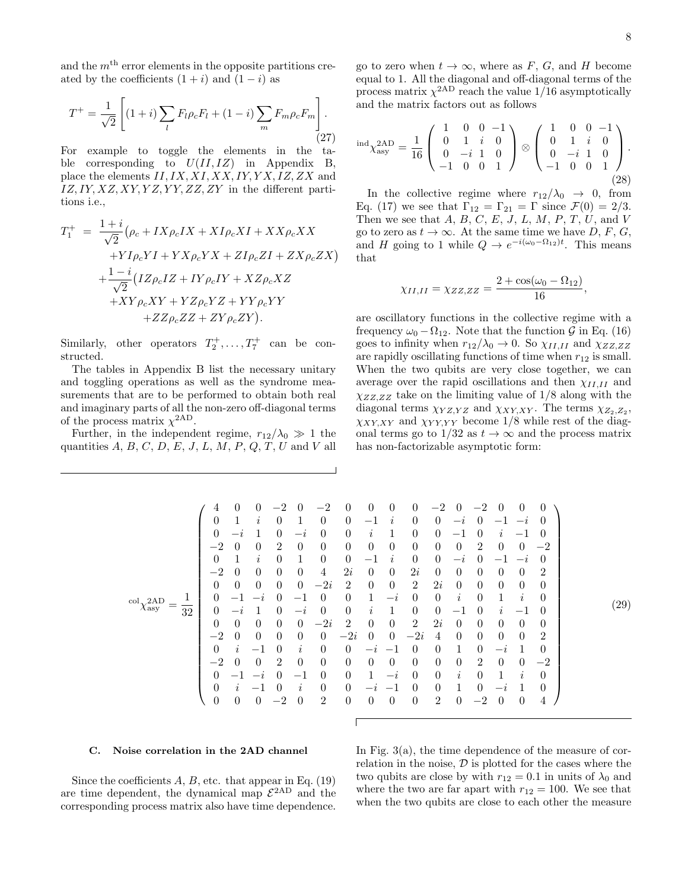,

and the  $m<sup>th</sup>$  error elements in the opposite partitions created by the coefficients  $(1 + i)$  and  $(1 - i)$  as

$$
T^{+} = \frac{1}{\sqrt{2}} \left[ (1+i) \sum_{l} F_{l} \rho_{c} F_{l} + (1-i) \sum_{m} F_{m} \rho_{c} F_{m} \right].
$$
\n(27)

For example to toggle the elements in the table corresponding to  $U(II, IZ)$  in Appendix B, place the elements  $II, IX, XI, XX, IY, YX, IZ, ZX$  and  $IZ, IY, XZ, XY, YZ, YY, ZZ, ZY$  in the different partitions i.e.,

$$
T_1^+ = \frac{1+i}{\sqrt{2}} (\rho_c + IX\rho_c IX + XI\rho_c XI + XX\rho_c XX + YI\rho_c YI + YX\rho_c YX + ZI\rho_c ZI + ZX\rho_c ZX) + \frac{1-i}{\sqrt{2}} (IZ\rho_c IZ + IY\rho_c IY + XZ\rho_c XZ + XY\rho_c XY + YZ\rho_c YZ + YY\rho_c YY + ZZ\rho_c ZZ + ZY\rho_c ZY).
$$

Similarly, other operators  $T_2^+$ , ...,  $T_7^+$  can be constructed.

The tables in Appendix B list the necessary unitary and toggling operations as well as the syndrome measurements that are to be performed to obtain both real and imaginary parts of all the non-zero off-diagonal terms of the process matrix  $\chi^{\text{2AD}}$ .

Further, in the independent regime,  $r_{12}/\lambda_0 \gg 1$  the quantities  $A, B, C, D, E, J, L, M, P, Q, T, U$  and V all

go to zero when  $t \to \infty$ , where as F, G, and H become equal to 1. All the diagonal and off-diagonal terms of the process matrix  $\chi^{2AD}$  reach the value 1/16 asymptotically and the matrix factors out as follows

$$
ind_{\chi_{\rm asy}}^{2AD} = \frac{1}{16} \begin{pmatrix} 1 & 0 & 0 & -1 \\ 0 & 1 & i & 0 \\ 0 & -i & 1 & 0 \\ -1 & 0 & 0 & 1 \end{pmatrix} \otimes \begin{pmatrix} 1 & 0 & 0 & -1 \\ 0 & 1 & i & 0 \\ 0 & -i & 1 & 0 \\ -1 & 0 & 0 & 1 \end{pmatrix}.
$$
\n(28)

In the collective regime where  $r_{12}/\lambda_0 \rightarrow 0$ , from Eq. (17) we see that  $\Gamma_{12} = \Gamma_{21} = \Gamma$  since  $\mathcal{F}(0) = 2/3$ . Then we see that  $A, B, C, E, J, L, M, P, T, U$ , and V go to zero as  $t \to \infty$ . At the same time we have D, F, G, and H going to 1 while  $Q \to e^{-i(\omega_0 - \Omega_{12})t}$ . This means that

$$
\chi_{II,II} = \chi_{ZZ,ZZ} = \frac{2 + \cos(\omega_0 - \Omega_{12})}{16}
$$

are oscillatory functions in the collective regime with a frequency  $\omega_0 - \Omega_{12}$ . Note that the function G in Eq. (16) goes to infinity when  $r_{12}/\lambda_0 \rightarrow 0$ . So  $\chi_{II,II}$  and  $\chi_{ZZ,ZZ}$ are rapidly oscillating functions of time when  $r_{12}$  is small. When the two qubits are very close together, we can average over the rapid oscillations and then  $\chi_{II,II}$  and  $\chi_{ZZ,ZZ}$  take on the limiting value of  $1/8$  along with the diagonal terms  $\chi_{YZ,YZ}$  and  $\chi_{XY,XY}$ . The terms  $\chi_{Z_2,Z_2}$ ,  $\chi_{XY,XY}$  and  $\chi_{YY,YY}$  become 1/8 while rest of the diagonal terms go to  $1/32$  as  $t \to \infty$  and the process matrix has non-factorizable asymptotic form:

| ┸<br>$col_{2}2AD$<br>$\chi_{\rm asy}$<br>32 | 4<br>0<br>$\theta$<br>$-2$<br>0<br>$-2$<br>$\theta$<br>$\theta$<br>$\theta$<br>$\theta$<br>$-2$<br>$\theta$<br>$-2$<br>0<br>$\theta$<br>$\boldsymbol{0}$ |  | $\theta$<br>1<br>$-2$<br>$\theta$<br>1<br>$\theta$<br>$\overline{0}$<br>-1<br>$-2$<br>0<br>$\theta$<br>$\imath$<br>$\theta$<br>ı<br>$\theta$ | $\Omega$<br>$\iota$<br>0<br>$\boldsymbol{\eta}$<br>$\theta$<br>$\theta$<br>$\theta$<br>$\theta$<br>$-1$<br>$\theta$<br>$-\iota$<br>—<br>$\theta$ | $-2$<br>$\theta$<br>2<br>$\Omega$<br>$\theta$<br>$\theta$<br>$\left( \right)$<br>$\Omega$<br>$\theta$<br>2<br>$-2$ | $\left( \right)$<br>$-i$<br>$\theta$<br>$\theta$<br>$\theta$<br>-1<br>$-i$<br>$\theta$<br>$\theta$<br>$\imath$<br>$\theta$<br>$-1$<br>$\boldsymbol{\eta}$<br>$\theta$ | $-2$<br>$\Omega$<br>$\Omega$<br>$\Omega$<br>$\theta$<br>4<br>$-2i$<br>$\Omega$<br>$\theta$<br>$-2i$<br>$\Omega$<br>$\theta$<br>$\Omega$<br>$\Omega$<br>$\Omega$<br>$\overline{2}$ | 0<br>0<br>0<br>0<br>$\theta$<br>2i<br>$\overline{2}$<br>0<br>0<br>$\overline{2}$<br>$-2i$<br>$\theta$<br>0<br>0<br>$\theta$<br>$\theta$ | 0<br>$-1$<br>$\imath$<br>$\theta$<br>$-1$<br>$\theta$<br>$\theta$<br>1<br>$\imath$<br>$\theta$<br>$\overline{0}$<br>$-2$<br>$\theta$<br>$\theta$ | 0<br>I,<br>0<br>$\boldsymbol{\eta}$<br>$\theta$<br>$\theta$<br>$-i$<br>1<br>$\theta$<br>$\theta$<br>$\theta$<br>$-i$<br>$\overline{\phantom{0}}$<br>$\theta$ | $\theta$<br>$\left( \right)$<br>$\Omega$<br>$\theta$<br>$\theta$<br>2i<br>$\overline{2}$<br>$\left( \right)$<br>$\theta$<br>$\overline{2}$<br>$-2i$<br>$\theta$<br>$\Omega$<br>$\theta$<br>$\cup$<br>$\theta$ | $-2$<br>$\Omega$<br>$\Omega$<br>$\theta$<br>$\theta$<br>$\theta$<br>2i<br>$\theta$<br>$\theta$<br>2i<br>4<br>0<br>$\Omega$<br>0<br>0<br>$\overline{2}$ | $\Omega$<br>$-i$<br>—1<br>$\Omega$<br>$-i$<br>$\Omega$<br>$\theta$<br>$\imath$<br>—1<br>$\Omega$<br>0<br>$\Omega$<br>$\imath$<br>T<br>$\theta$ | $-2$<br>$\theta$<br>$\theta$<br>$\overline{2}$<br>$\theta$<br>0<br>$\theta$<br>$\theta$<br>$\theta$<br>$\overline{0}$<br>$\theta$<br>$\theta$<br>$\overline{2}$<br>$\theta$<br>$\theta$<br>$-2$ | $\theta$<br>— 1<br>$\boldsymbol{\eta}$<br>$\theta$<br>$\theta$<br>$\theta$<br>1<br>$\iota$<br>$\Omega$<br>$\theta$<br>$-i$<br>$\theta$<br>-1<br>$-i$<br>$\theta$ | $\theta$<br>$-2$<br>$\overline{\phantom{m}}$<br>$\theta$<br>$-2$<br>$\theta$<br>$\theta$<br>$\dot{i}$<br>$\overbrace{\phantom{12322111}}$<br>$\theta$<br>$\theta$<br>$\theta$<br>$\imath$<br>$\theta$ | $\theta$<br>$\left( \right)$<br>$\theta$<br>$-2$<br>2<br>$\theta$<br>$\theta$<br>$\left( \right)$<br>$\theta$<br>2<br>$\theta$<br>$-2\,$<br>$\theta$<br>$\theta$<br>4 |  | $\left( 29\right)$ |  |
|---------------------------------------------|----------------------------------------------------------------------------------------------------------------------------------------------------------|--|----------------------------------------------------------------------------------------------------------------------------------------------|--------------------------------------------------------------------------------------------------------------------------------------------------|--------------------------------------------------------------------------------------------------------------------|-----------------------------------------------------------------------------------------------------------------------------------------------------------------------|-----------------------------------------------------------------------------------------------------------------------------------------------------------------------------------|-----------------------------------------------------------------------------------------------------------------------------------------|--------------------------------------------------------------------------------------------------------------------------------------------------|--------------------------------------------------------------------------------------------------------------------------------------------------------------|---------------------------------------------------------------------------------------------------------------------------------------------------------------------------------------------------------------|--------------------------------------------------------------------------------------------------------------------------------------------------------|------------------------------------------------------------------------------------------------------------------------------------------------|-------------------------------------------------------------------------------------------------------------------------------------------------------------------------------------------------|------------------------------------------------------------------------------------------------------------------------------------------------------------------|-------------------------------------------------------------------------------------------------------------------------------------------------------------------------------------------------------|-----------------------------------------------------------------------------------------------------------------------------------------------------------------------|--|--------------------|--|
|---------------------------------------------|----------------------------------------------------------------------------------------------------------------------------------------------------------|--|----------------------------------------------------------------------------------------------------------------------------------------------|--------------------------------------------------------------------------------------------------------------------------------------------------|--------------------------------------------------------------------------------------------------------------------|-----------------------------------------------------------------------------------------------------------------------------------------------------------------------|-----------------------------------------------------------------------------------------------------------------------------------------------------------------------------------|-----------------------------------------------------------------------------------------------------------------------------------------|--------------------------------------------------------------------------------------------------------------------------------------------------|--------------------------------------------------------------------------------------------------------------------------------------------------------------|---------------------------------------------------------------------------------------------------------------------------------------------------------------------------------------------------------------|--------------------------------------------------------------------------------------------------------------------------------------------------------|------------------------------------------------------------------------------------------------------------------------------------------------|-------------------------------------------------------------------------------------------------------------------------------------------------------------------------------------------------|------------------------------------------------------------------------------------------------------------------------------------------------------------------|-------------------------------------------------------------------------------------------------------------------------------------------------------------------------------------------------------|-----------------------------------------------------------------------------------------------------------------------------------------------------------------------|--|--------------------|--|

#### C. Noise correlation in the 2AD channel

Since the coefficients  $A, B$ , etc. that appear in Eq. (19) are time dependent, the dynamical map  $\mathcal{E}^{\text{2AD}}$  and the corresponding process matrix also have time dependence.

In Fig. 3(a), the time dependence of the measure of correlation in the noise,  $D$  is plotted for the cases where the two qubits are close by with  $r_{12} = 0.1$  in units of  $\lambda_0$  and where the two are far apart with  $r_{12} = 100$ . We see that when the two qubits are close to each other the measure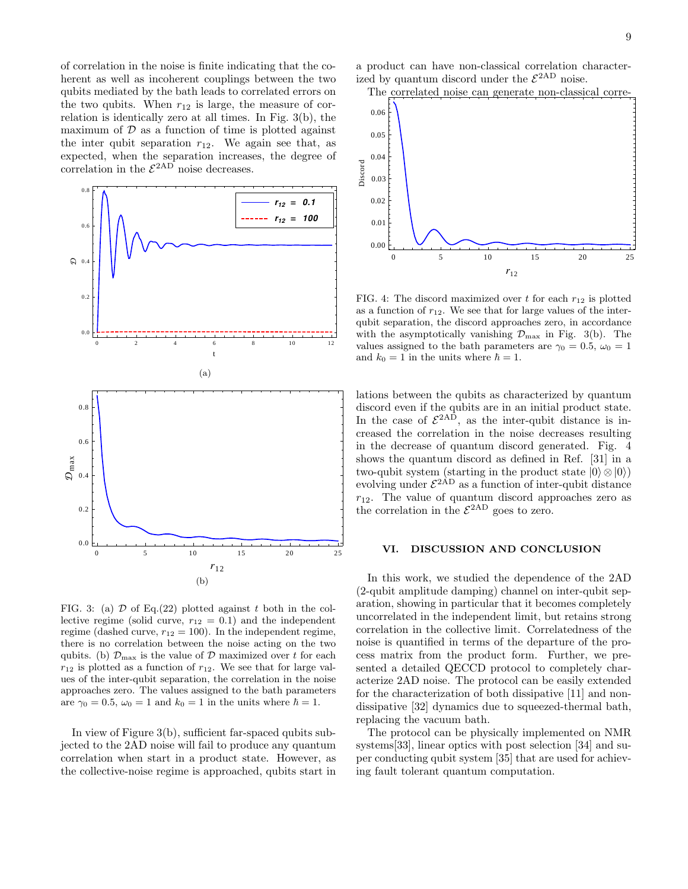of correlation in the noise is finite indicating that the coherent as well as incoherent couplings between the two qubits mediated by the bath leads to correlated errors on the two qubits. When  $r_{12}$  is large, the measure of correlation is identically zero at all times. In Fig. 3(b), the maximum of  $D$  as a function of time is plotted against the inter qubit separation  $r_{12}$ . We again see that, as expected, when the separation increases, the degree of correlation in the  $\mathcal{E}^{\text{2AD}}$  noise decreases.



FIG. 3: (a)  $\mathcal D$  of Eq.(22) plotted against t both in the collective regime (solid curve,  $r_{12} = 0.1$ ) and the independent regime (dashed curve,  $r_{12} = 100$ ). In the independent regime, there is no correlation between the noise acting on the two qubits. (b)  $\mathcal{D}_{\text{max}}$  is the value of  $\mathcal{D}$  maximized over t for each  $r_{12}$  is plotted as a function of  $r_{12}$ . We see that for large values of the inter-qubit separation, the correlation in the noise approaches zero. The values assigned to the bath parameters are  $\gamma_0 = 0.5$ ,  $\omega_0 = 1$  and  $k_0 = 1$  in the units where  $\hbar = 1$ .

In view of Figure 3(b), sufficient far-spaced qubits subjected to the 2AD noise will fail to produce any quantum correlation when start in a product state. However, as the collective-noise regime is approached, qubits start in a product can have non-classical correlation characterized by quantum discord under the  $\mathcal{E}^{\text{2AD}}$  noise.



FIG. 4: The discord maximized over t for each  $r_{12}$  is plotted as a function of  $r_{12}$ . We see that for large values of the interqubit separation, the discord approaches zero, in accordance with the asymptotically vanishing  $\mathcal{D}_{\text{max}}$  in Fig. 3(b). The values assigned to the bath parameters are  $\gamma_0 = 0.5$ ,  $\omega_0 = 1$ and  $k_0 = 1$  in the units where  $\hbar = 1$ .

lations between the qubits as characterized by quantum discord even if the qubits are in an initial product state. In the case of  $\mathcal{E}^{2AD}$ , as the inter-qubit distance is increased the correlation in the noise decreases resulting in the decrease of quantum discord generated. Fig. 4 shows the quantum discord as defined in Ref. [31] in a two-qubit system (starting in the product state  $|0\rangle \otimes |0\rangle$ ) evolving under  $\mathcal{E}^{2AD}$  as a function of inter-qubit distance  $r_{12}$ . The value of quantum discord approaches zero as the correlation in the  $\mathcal{E}^{\text{2AD}}$  goes to zero.

#### VI. DISCUSSION AND CONCLUSION

In this work, we studied the dependence of the 2AD (2-qubit amplitude damping) channel on inter-qubit separation, showing in particular that it becomes completely uncorrelated in the independent limit, but retains strong correlation in the collective limit. Correlatedness of the noise is quantified in terms of the departure of the process matrix from the product form. Further, we presented a detailed QECCD protocol to completely characterize 2AD noise. The protocol can be easily extended for the characterization of both dissipative [11] and nondissipative [32] dynamics due to squeezed-thermal bath, replacing the vacuum bath.

The protocol can be physically implemented on NMR systems[33], linear optics with post selection [34] and super conducting qubit system [35] that are used for achieving fault tolerant quantum computation.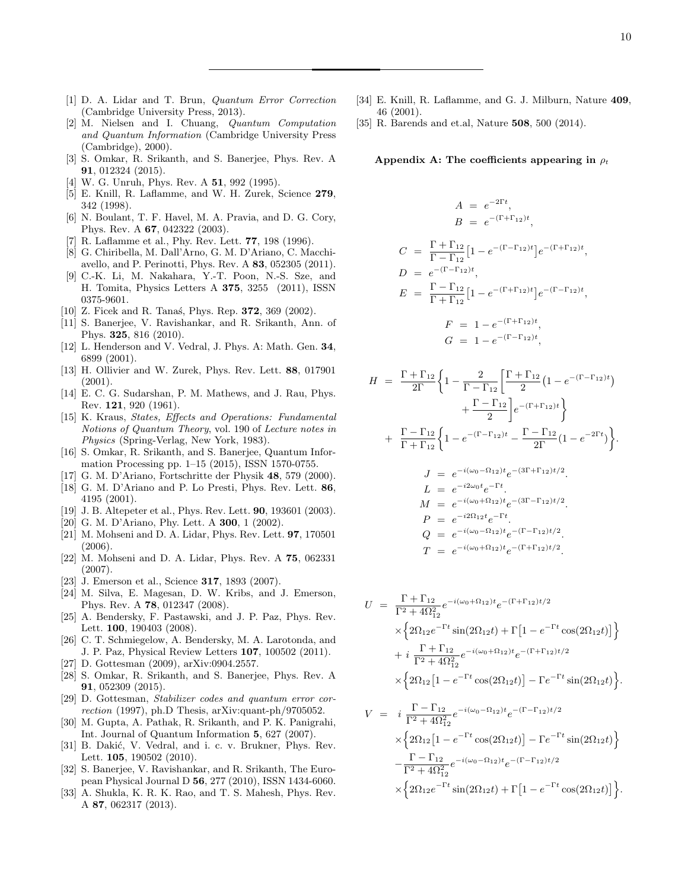- [1] D. A. Lidar and T. Brun, Quantum Error Correction (Cambridge University Press, 2013).
- [2] M. Nielsen and I. Chuang, Quantum Computation and Quantum Information (Cambridge University Press (Cambridge), 2000).
- [3] S. Omkar, R. Srikanth, and S. Banerjee, Phys. Rev. A 91, 012324 (2015).
- [4] W. G. Unruh, Phys. Rev. A **51**, 992 (1995).
- [5] E. Knill, R. Laflamme, and W. H. Zurek, Science 279, 342 (1998).
- [6] N. Boulant, T. F. Havel, M. A. Pravia, and D. G. Cory, Phys. Rev. A 67, 042322 (2003).
- [7] R. Laflamme et al., Phy. Rev. Lett. 77, 198 (1996).
- [8] G. Chiribella, M. Dall'Arno, G. M. D'Ariano, C. Macchiavello, and P. Perinotti, Phys. Rev. A 83, 052305 (2011).
- [9] C.-K. Li, M. Nakahara, Y.-T. Poon, N.-S. Sze, and H. Tomita, Physics Letters A 375, 3255 (2011), ISSN 0375-9601.
- [10] Z. Ficek and R. Tanas, Phys. Rep. **372**, 369 (2002).
- [11] S. Banerjee, V. Ravishankar, and R. Srikanth, Ann. of Phys. 325, 816 (2010).
- [12] L. Henderson and V. Vedral, J. Phys. A: Math. Gen. 34, 6899 (2001).
- [13] H. Ollivier and W. Zurek, Phys. Rev. Lett. 88, 017901  $(2001)$ .
- [14] E. C. G. Sudarshan, P. M. Mathews, and J. Rau, Phys. Rev. 121, 920 (1961).
- [15] K. Kraus, States, Effects and Operations: Fundamental Notions of Quantum Theory, vol. 190 of Lecture notes in Physics (Spring-Verlag, New York, 1983).
- [16] S. Omkar, R. Srikanth, and S. Banerjee, Quantum Information Processing pp. 1–15 (2015), ISSN 1570-0755.
- [17] G. M. D'Ariano, Fortschritte der Physik 48, 579 (2000).
- [18] G. M. D'Ariano and P. Lo Presti, Phys. Rev. Lett. 86, 4195 (2001).
- [19] J. B. Altepeter et al., Phys. Rev. Lett. **90**, 193601 (2003).
- [20] G. M. D'Ariano, Phy. Lett. A **300**, 1 (2002).
- [21] M. Mohseni and D. A. Lidar, Phys. Rev. Lett. 97, 170501 (2006).
- [22] M. Mohseni and D. A. Lidar, Phys. Rev. A 75, 062331 (2007).
- [23] J. Emerson et al., Science **317**, 1893 (2007).
- [24] M. Silva, E. Magesan, D. W. Kribs, and J. Emerson, Phys. Rev. A 78, 012347 (2008).
- [25] A. Bendersky, F. Pastawski, and J. P. Paz, Phys. Rev. Lett. 100, 190403 (2008).
- [26] C. T. Schmiegelow, A. Bendersky, M. A. Larotonda, and J. P. Paz, Physical Review Letters 107, 100502 (2011).
- [27] D. Gottesman (2009), arXiv:0904.2557.
- [28] S. Omkar, R. Srikanth, and S. Banerjee, Phys. Rev. A 91, 052309 (2015).
- [29] D. Gottesman, Stabilizer codes and quantum error correction (1997), ph.D Thesis, arXiv:quant-ph/9705052.
- [30] M. Gupta, A. Pathak, R. Srikanth, and P. K. Panigrahi, Int. Journal of Quantum Information 5, 627 (2007).
- [31] B. Dakić, V. Vedral, and i. c. v. Brukner, Phys. Rev. Lett. 105, 190502 (2010).
- [32] S. Banerjee, V. Ravishankar, and R. Srikanth, The European Physical Journal D 56, 277 (2010), ISSN 1434-6060.
- [33] A. Shukla, K. R. K. Rao, and T. S. Mahesh, Phys. Rev. A 87, 062317 (2013).
- [34] E. Knill, R. Laflamme, and G. J. Milburn, Nature 409, 46 (2001).
- [35] R. Barends and et.al, Nature 508, 500 (2014).

Appendix A: The coefficients appearing in  $\rho_t$ 

$$
A = e^{-2\Gamma t},
$$
  
\n
$$
B = e^{-(\Gamma + \Gamma_{12})t},
$$
  
\n
$$
C = \frac{\Gamma + \Gamma_{12}}{\Gamma - \Gamma_{12}} [1 - e^{-(\Gamma - \Gamma_{12})t}] e^{-(\Gamma + \Gamma_{12})t},
$$
  
\n
$$
D = e^{-(\Gamma - \Gamma_{12})t},
$$
  
\n
$$
E = \frac{\Gamma - \Gamma_{12}}{\Gamma + \Gamma_{12}} [1 - e^{-(\Gamma + \Gamma_{12})t}] e^{-(\Gamma - \Gamma_{12})t},
$$
  
\n
$$
F = 1 - e^{-(\Gamma + \Gamma_{12})t},
$$

$$
F = 1 - e^{-(\Gamma + \Gamma_{12})t},
$$
  
\n
$$
G = 1 - e^{-(\Gamma - \Gamma_{12})t},
$$

$$
H = \frac{\Gamma + \Gamma_{12}}{2\Gamma} \left\{ 1 - \frac{2}{\Gamma - \Gamma_{12}} \left[ \frac{\Gamma + \Gamma_{12}}{2} \left( 1 - e^{-(\Gamma - \Gamma_{12})t} \right) \right. \\ \left. + \frac{\Gamma - \Gamma_{12}}{2} \right] e^{-(\Gamma + \Gamma_{12})t} \right\}
$$

$$
+ \frac{\Gamma - \Gamma_{12}}{\Gamma + \Gamma_{12}} \left\{ 1 - e^{-(\Gamma - \Gamma_{12})t} - \frac{\Gamma - \Gamma_{12}}{2\Gamma} (1 - e^{-2\Gamma t}) \right\}.
$$

$$
J = e^{-i(\omega_0 - \Omega_{12})t} e^{-(3\Gamma + \Gamma_{12})t/2}.
$$
  
\n
$$
L = e^{-i2\omega_0 t} e^{-\Gamma t}.
$$
  
\n
$$
M = e^{-i(\omega_0 + \Omega_{12})t} e^{-(3\Gamma - \Gamma_{12})t/2}.
$$
  
\n
$$
P = e^{-i2\Omega_{12}t} e^{-\Gamma t}.
$$
  
\n
$$
Q = e^{-i(\omega_0 - \Omega_{12})t} e^{-(\Gamma - \Gamma_{12})t/2}.
$$
  
\n
$$
T = e^{-i(\omega_0 + \Omega_{12})t} e^{-(\Gamma + \Gamma_{12})t/2}.
$$

$$
U = \frac{\Gamma + \Gamma_{12}}{\Gamma^2 + 4\Omega_{12}^2} e^{-i(\omega_0 + \Omega_{12})t} e^{-(\Gamma + \Gamma_{12})t/2}
$$
  
 
$$
\times \left\{ 2\Omega_{12} e^{-\Gamma t} \sin(2\Omega_{12}t) + \Gamma[1 - e^{-\Gamma t} \cos(2\Omega_{12}t)] \right\}
$$
  
 
$$
+ i \frac{\Gamma + \Gamma_{12}}{\Gamma^2 + 4\Omega_{12}^2} e^{-i(\omega_0 + \Omega_{12})t} e^{-(\Gamma + \Gamma_{12})t/2}
$$
  
 
$$
\times \left\{ 2\Omega_{12} [1 - e^{-\Gamma t} \cos(2\Omega_{12}t)] - \Gamma e^{-\Gamma t} \sin(2\Omega_{12}t) \right\}.
$$

$$
V = i \frac{\Gamma - \Gamma_{12}}{\Gamma^2 + 4\Omega_{12}^2} e^{-i(\omega_0 - \Omega_{12})t} e^{-(\Gamma - \Gamma_{12})t/2}
$$
  
 
$$
\times \left\{ 2\Omega_{12} [1 - e^{-\Gamma t} \cos(2\Omega_{12} t)] - \Gamma e^{-\Gamma t} \sin(2\Omega_{12} t) \right\}
$$
  
 
$$
- \frac{\Gamma - \Gamma_{12}}{\Gamma^2 + 4\Omega_{12}^2} e^{-i(\omega_0 - \Omega_{12})t} e^{-(\Gamma - \Gamma_{12})t/2}
$$
  
 
$$
\times \left\{ 2\Omega_{12} e^{-\Gamma t} \sin(2\Omega_{12} t) + \Gamma [1 - e^{-\Gamma t} \cos(2\Omega_{12} t)] \right\}.
$$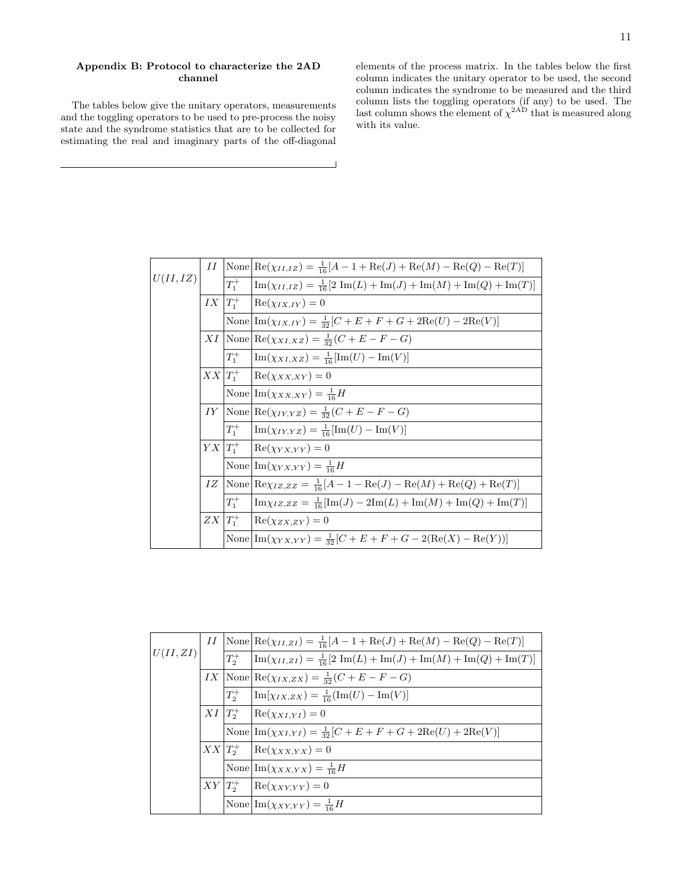### Appendix B: Protocol to characterize the 2AD channel

The tables below give the unitary operators, measurements and the toggling operators to be used to pre-process the noisy state and the syndrome statistics that are to be collected for estimating the real and imaginary parts of the off-diagonal elements of the process matrix. In the tables below the first column indicates the unitary operator to be used, the second column indicates the syndrome to be measured and the third column lists the toggling operators (if any) to be used. The last column shows the element of  $\chi^{2AD}$  that is measured along with its value.

|          | II              |             | $None Re(\chi_{II,IZ}) = \frac{1}{16}[A-1+Re(J)+Re(M)-Re(Q)-Re(T)]$                                                            |
|----------|-----------------|-------------|--------------------------------------------------------------------------------------------------------------------------------|
| U(II,IZ) |                 | $T_1^+$     | $\left[\text{Im}(\chi_{II,IZ})=\frac{1}{16}[2 \text{ Im}(L)+\text{Im}(J)+\text{Im}(M)+\text{Im}(Q)+\text{Im}(T)\right]$        |
|          | $IX\vert T_1^+$ |             | $Re(\chi_{IX, IY}) = 0$                                                                                                        |
|          |                 |             | None $\text{Im}(\chi_{IX,IV}) = \frac{1}{32}[C + E + F + G + 2\text{Re}(U) - 2\text{Re}(V)]$                                   |
|          |                 |             | $XI\big[\text{None}\big]\text{Re}(\chi_{XI,XZ})=\frac{1}{32}(C+E-F-G)$                                                         |
|          |                 | $T_1^+$     | $\lim(\chi_{XI,XZ}) = \frac{1}{16} [\text{Im}(U) - \text{Im}(V)]$                                                              |
|          |                 |             | $XX T_1^+ {\rm Re}(\chi_{XX,XY})=0$                                                                                            |
|          |                 |             | None $\ln(\chi_{XX,XY}) = \frac{1}{16}H$                                                                                       |
|          |                 |             | IY None $\text{Re}(\chi_{IY,YZ}) = \frac{1}{32}(C+E-F-G)$                                                                      |
|          |                 | $T_1^+$     | $\lim_{(X_1, Y_1, Y_2)} = \frac{1}{16} [\text{Im}(U) - \text{Im}(V)]$                                                          |
|          |                 |             | $YX T_1^+$  Re $(\chi_{YX,YY})=0$                                                                                              |
|          |                 |             | None $\ln(\chi_{YX,YY}) = \frac{1}{16}H$                                                                                       |
|          | IZ              |             | $\left \text{None}\right  \text{Re}\chi_{IZ,ZZ} = \frac{1}{16}[A-1-\text{Re}(J)-\text{Re}(M)+\text{Re}(Q)+\text{Re}(T)\right $ |
|          |                 | $T_1^+$     | $\left[\text{Im}\chi_{IZ,ZZ}=\frac{1}{16}[\text{Im}(J)-2\text{Im}(L)+\text{Im}(M)+\text{Im}(Q)+\text{Im}(T)]\right]$           |
|          |                 | $ZX T_1^+ $ | $Re(\chi_{ZX,ZY})=0$                                                                                                           |
|          |                 |             | None $\text{Im}(\chi_{YX,YY}) = \frac{1}{32} [C + E + F + G - 2(\text{Re}(X) - \text{Re}(Y))]$                                 |

|          | II |            | $\text{None} \bigg[ \text{Re}(\chi_{II,ZI}) = \frac{1}{16} [A - 1 + \text{Re}(J) + \text{Re}(M) - \text{Re}(Q) - \text{Re}(T) ]$ |
|----------|----|------------|----------------------------------------------------------------------------------------------------------------------------------|
| U(II,ZI) |    |            | $T_2^+$ $\left[\text{Im}(\chi_{II,ZI})=\frac{1}{16}[2 \text{ Im}(L)+\text{Im}(J)+\text{Im}(M)+\text{Im}(Q)+\text{Im}(T)\right]$  |
|          |    |            | IX None $\text{Re}(\chi_{IX,ZX}) = \frac{1}{32}(C+E-F-G)$                                                                        |
|          |    |            | $T_2^+$ $\left[\text{Im}[\chi_{IX,ZX}]=\frac{1}{16}(\text{Im}(U)-\text{Im}(V)]\right]$                                           |
|          |    |            | $XI   T_2^+   \text{Re}(\chi_{XI,YI}) = 0$                                                                                       |
|          |    |            | None $\text{Im}(\chi_{XI,YI}) = \frac{1}{32}[C + E + F + G + 2\text{Re}(U) + 2\text{Re}(V)]$                                     |
|          |    |            | $XX T_2^+ $ Re $(\chi_{XX,YX})=0$                                                                                                |
|          |    |            | None $\ln(\chi_{XX,YX}) = \frac{1}{16}H$                                                                                         |
|          |    | $XY T_2^+$ | $Re(\chi_{XY,YY})=0$                                                                                                             |
|          |    |            | None $\ln(\chi_{XY,YY}) = \frac{1}{16}H$                                                                                         |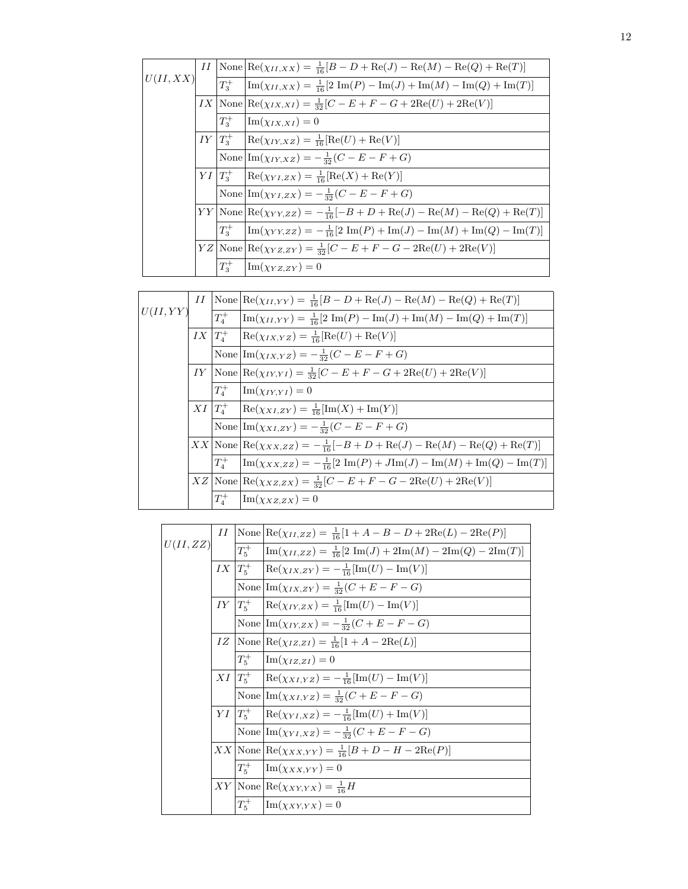|          |             | <i>II</i> $\vert$ None $\vert \text{Re}(\chi_{II,XX}) = \frac{1}{16} [B - D + \text{Re}(J) - \text{Re}(M) - \text{Re}(Q) + \text{Re}(T)]$ |
|----------|-------------|-------------------------------------------------------------------------------------------------------------------------------------------|
| U(II,XX) | $T_3^+$     | $\left[\text{Im}(\chi_{II,XX})=\frac{1}{16}[2 \text{ Im}(P)-\text{Im}(J)+\text{Im}(M)-\text{Im}(Q)+\text{Im}(T)\right]$                   |
|          |             | $IX   \text{None}   \text{Re}(\chi_{IX, XI}) = \frac{1}{32} [C - E + F - G + 2 \text{Re}(U) + 2 \text{Re}(V)]$                            |
|          | $T_{3}^{+}$ | $\operatorname{Im}(\chi_{IX,XI})=0$                                                                                                       |
|          |             | $IY T_3^+$  Re( $\chi_{IY,XZ}$ ) = $\frac{1}{16}$ [Re(U) + Re(V)]                                                                         |
|          |             | None $\left \text{Im}(\chi_{IY,XZ})\right  = -\frac{1}{32}(C - E - F + G)$                                                                |
|          |             | $YI\ T_3^+$ Re( $\chi_{YI,ZX}$ ) = $\frac{1}{16}[\text{Re}(X) + \text{Re}(Y)]$                                                            |
|          |             | None $\left \text{Im}(\chi_{YI,ZX})\right  = -\frac{1}{32}(C - E - F + G)$                                                                |
|          |             | $YY {\rm None} {\rm Re}(\chi_{YY,ZZ}) = -\frac{1}{16}[-B+D+{\rm Re}(J)-{\rm Re}(M)-{\rm Re}(Q)+{\rm Re}(T)]$                              |
|          | $T_3^+$     | $\lim(\chi_{YY,ZZ}) = -\frac{1}{16}[2 \text{ Im}(P) + \text{Im}(J) - \text{Im}(M) + \text{Im}(Q) - \text{Im}(T)]$                         |
|          |             | $YZ   \text{None}   \text{Re}(\chi_{YZ,ZY}) = \frac{1}{32} [C - E + F - G - 2 \text{Re}(U) + 2 \text{Re}(V)]$                             |
|          | $T_3^+$     | $\operatorname{Im}(\chi_{YZ,ZY})=0$                                                                                                       |

|          |         | II $\text{None} \left[ \text{Re}(\chi_{II,YY}) = \frac{1}{16}[B - D + \text{Re}(J) - \text{Re}(M) - \text{Re}(Q) + \text{Re}(T) \right]$ |
|----------|---------|------------------------------------------------------------------------------------------------------------------------------------------|
| U(II,YY) |         | $T_4^+$ $\left Im(\chi_{II,YY}) = \frac{1}{16} [2 Im(P) - Im(J) + Im(M) - Im(Q) + Im(T)]\right $                                         |
|          |         | $IX   T_4^+   \text{Re}(\chi_{IX,YZ}) = \frac{1}{16} [\text{Re}(U) + \text{Re}(V)]$                                                      |
|          |         | None $\ln(\chi_{IX,YZ}) = -\frac{1}{32}(C - E - F + G)$                                                                                  |
|          |         | IY None $\text{Re}(\chi_{IY,YI}) = \frac{1}{32}[C - E + F - G + 2\text{Re}(U) + 2\text{Re}(V)]$                                          |
|          | $T_4^+$ | $\text{Im}(\chi_{IY,YI})=0$                                                                                                              |
|          |         | $XI  T_4^+  \text{Re}(\chi_{XI,ZY}) = \frac{1}{16}[\text{Im}(X) + \text{Im}(Y)]$                                                         |
|          |         | None $\ln(\chi_{XI,ZY}) = -\frac{1}{32}(C - E - F + G)$                                                                                  |
|          |         | $XX \text{None}  \text{Re}(\chi_{XX,ZZ}) = -\frac{1}{16}[-B+D+\text{Re}(J)-\text{Re}(M)-\text{Re}(Q)+\text{Re}(T)]$                      |
|          | $T_4^+$ | $\left[\text{Im}(\chi_{XX,ZZ})=-\frac{1}{16}[2 \text{ Im}(P)+J\text{Im}(J)-\text{Im}(M)+\text{Im}(Q)-\text{Im}(T)\right]$                |
|          |         | $XZ$ None $\text{Re}(\chi_{XZ,ZX}) = \frac{1}{32}[C - E + F - G - 2\text{Re}(U) + 2\text{Re}(V)]$                                        |
|          |         | $T_4^+$ $\lim(\chi_{XZ,ZX})=0$                                                                                                           |

|          |               | II $\text{None}   \text{Re}(\chi_{II, ZZ}) = \frac{1}{16} [1 + A - B - D + 2 \text{Re}(L) - 2 \text{Re}(P)]$                       |
|----------|---------------|------------------------------------------------------------------------------------------------------------------------------------|
| U(II,ZZ) |               | $T_5^+$ $\left[\text{Im}(\chi_{II,ZZ}) = \frac{1}{16} [2 \text{ Im}(J) + 2 \text{Im}(M) - 2 \text{Im}(Q) - 2 \text{Im}(T)]\right]$ |
|          |               | $IX  T_5^+  \text{Re}(\chi_{IX,ZY}) = -\frac{1}{16}[\text{Im}(U) - \text{Im}(V)]$                                                  |
|          |               | None $\ln(\chi_{IX,ZY}) = \frac{1}{32}(C + E - F - G)$                                                                             |
|          | $IY$ $ T_5^+$ | $\text{Re}(\chi_{IY,ZX}) = \frac{1}{16}[\text{Im}(U) - \text{Im}(V)]$                                                              |
|          |               | None $\left \text{Im}(\chi_{IY,ZX})\right  = -\frac{1}{32}(C+E-F-G)$                                                               |
|          |               | $IZ   \text{None}   \text{Re}(\chi_{IZ,ZI}) = \frac{1}{16} [1 + A - 2 \text{Re}(L)]$                                               |
|          | $T_5^+$       | $\text{Im}(\chi_{IZ,ZI})=0$                                                                                                        |
|          |               | $XI\left T_5^+\right  \left {\rm Re}(\chi_{XI,YZ})\right  = -\frac{1}{16} [{\rm Im}(U)-{\rm Im}(V)]$                               |
|          |               | None $\ln(\chi_{XI,YZ}) = \frac{1}{32}(C + E - F - G)$                                                                             |
|          |               | $YI\ T_5^+\ {\rm Re}(\chi_{YI,XZ})=-\frac{1}{16}[{\rm Im}(U)+{\rm Im}(V)]$                                                         |
|          |               | None $\ln(\chi_{YI, XZ}) = -\frac{1}{32}(C + E - F - G)$                                                                           |
|          |               | $XX {\rm None} {\rm Re}(\chi_{XX,YY})=\frac{1}{16}[B+D-H-2{\rm Re}(P)]$                                                            |
|          | $T_5^+$       | $\operatorname{Im}(\chi_{XX,YY})=0$                                                                                                |
|          |               | $XY \text{None}  \text{Re}(\chi_{XY,YX}) = \frac{1}{16}H$                                                                          |
|          | $T_5^+$       | $\text{Im}(\chi_{XY,YX})=0$                                                                                                        |